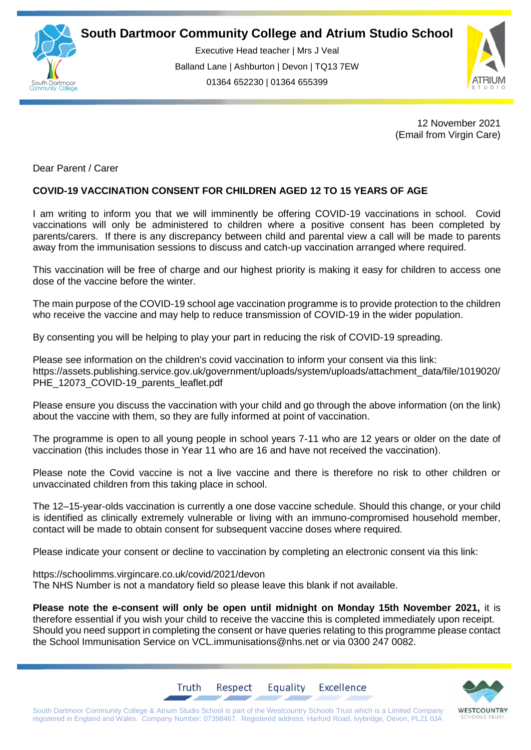

**South Dartmoor Community College and Atrium Studio School** 

Executive Head teacher | Mrs J Veal Balland Lane | Ashburton | Devon | TQ13 7EW 01364 652230 | 01364 655399



12 November 2021 (Email from Virgin Care)

Dear Parent / Carer

## **COVID-19 VACCINATION CONSENT FOR CHILDREN AGED 12 TO 15 YEARS OF AGE**

I am writing to inform you that we will imminently be offering COVID-19 vaccinations in school. Covid vaccinations will only be administered to children where a positive consent has been completed by parents/carers. If there is any discrepancy between child and parental view a call will be made to parents away from the immunisation sessions to discuss and catch-up vaccination arranged where required.

This vaccination will be free of charge and our highest priority is making it easy for children to access one dose of the vaccine before the winter.

The main purpose of the COVID-19 school age vaccination programme is to provide protection to the children who receive the vaccine and may help to reduce transmission of COVID-19 in the wider population.

By consenting you will be helping to play your part in reducing the risk of COVID-19 spreading.

Please see information on the children's covid vaccination to inform your consent via this link: https://assets.publishing.service.gov.uk/government/uploads/system/uploads/attachment\_data/file/1019020/ PHE\_12073\_COVID-19\_parents\_leaflet.pdf

Please ensure you discuss the vaccination with your child and go through the above information (on the link) about the vaccine with them, so they are fully informed at point of vaccination.

The programme is open to all young people in school years 7-11 who are 12 years or older on the date of vaccination (this includes those in Year 11 who are 16 and have not received the vaccination).

Please note the Covid vaccine is not a live vaccine and there is therefore no risk to other children or unvaccinated children from this taking place in school.

The 12–15-year-olds vaccination is currently a one dose vaccine schedule. Should this change, or your child is identified as clinically extremely vulnerable or living with an immuno-compromised household member, contact will be made to obtain consent for subsequent vaccine doses where required.

Please indicate your consent or decline to vaccination by completing an electronic consent via this link:

https://schoolimms.virgincare.co.uk/covid/2021/devon The NHS Number is not a mandatory field so please leave this blank if not available.

Truth

**Please note the e-consent will only be open until midnight on Monday 15th November 2021,** it is therefore essential if you wish your child to receive the vaccine this is completed immediately upon receipt. Should you need support in completing the consent or have queries relating to this programme please contact the School Immunisation Service on VCL.immunisations@nhs.net or via 0300 247 0082.

Equality

Excellence



South Dartmoor Community College & Atrium Studio School is part of the Westcountry Schools Trust which is a Limited Company registered in England and Wales. Company Number: 07398467. Registered address: Harford Road, Ivybridge, Devon, PL21 0JA

Respect